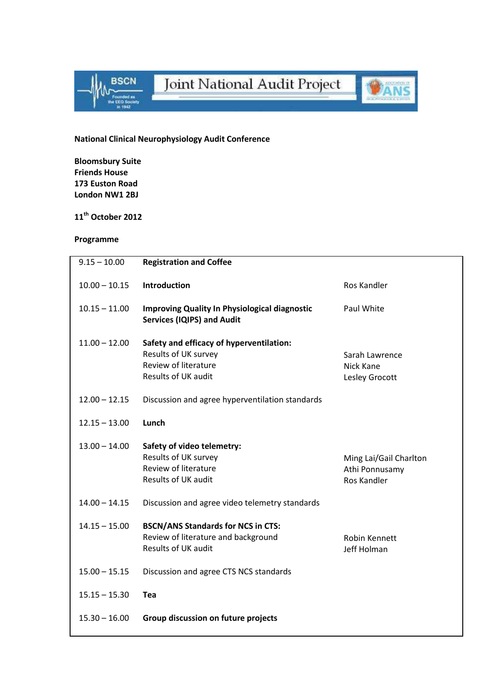



## National Clinical Neurophysiology Audit Conference

Bloomsbury Suite Friends House 173 Euston Road London NW1 2BJ

## 11<sup>th</sup> October 2012

## Programme

| $9.15 - 10.00$  | <b>Registration and Coffee</b>                                                                                         |                                                                |
|-----------------|------------------------------------------------------------------------------------------------------------------------|----------------------------------------------------------------|
| $10.00 - 10.15$ | Introduction                                                                                                           | Ros Kandler                                                    |
| $10.15 - 11.00$ | <b>Improving Quality In Physiological diagnostic</b><br><b>Services (IQIPS) and Audit</b>                              | Paul White                                                     |
| $11.00 - 12.00$ | Safety and efficacy of hyperventilation:<br>Results of UK survey<br><b>Review of literature</b><br>Results of UK audit | Sarah Lawrence<br>Nick Kane<br>Lesley Grocott                  |
| $12.00 - 12.15$ | Discussion and agree hyperventilation standards                                                                        |                                                                |
| $12.15 - 13.00$ | Lunch                                                                                                                  |                                                                |
| $13.00 - 14.00$ | Safety of video telemetry:<br>Results of UK survey<br><b>Review of literature</b><br>Results of UK audit               | Ming Lai/Gail Charlton<br>Athi Ponnusamy<br><b>Ros Kandler</b> |
| $14.00 - 14.15$ | Discussion and agree video telemetry standards                                                                         |                                                                |
| $14.15 - 15.00$ | <b>BSCN/ANS Standards for NCS in CTS:</b><br>Review of literature and background<br><b>Results of UK audit</b>         | Robin Kennett<br>Jeff Holman                                   |
| $15.00 - 15.15$ | Discussion and agree CTS NCS standards                                                                                 |                                                                |
| $15.15 - 15.30$ | Tea                                                                                                                    |                                                                |
| $15.30 - 16.00$ | Group discussion on future projects                                                                                    |                                                                |